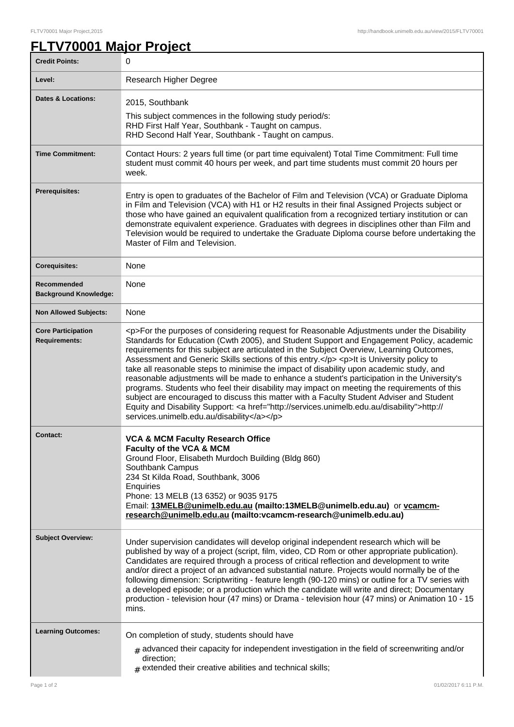## **FLTV70001 Major Project**

| <b>Credit Points:</b>                             | 0                                                                                                                                                                                                                                                                                                                                                                                                                                                                                                                                                                                                                                                                                                                                                                                                                                                                                                                            |
|---------------------------------------------------|------------------------------------------------------------------------------------------------------------------------------------------------------------------------------------------------------------------------------------------------------------------------------------------------------------------------------------------------------------------------------------------------------------------------------------------------------------------------------------------------------------------------------------------------------------------------------------------------------------------------------------------------------------------------------------------------------------------------------------------------------------------------------------------------------------------------------------------------------------------------------------------------------------------------------|
| Level:                                            | Research Higher Degree                                                                                                                                                                                                                                                                                                                                                                                                                                                                                                                                                                                                                                                                                                                                                                                                                                                                                                       |
| <b>Dates &amp; Locations:</b>                     | 2015, Southbank<br>This subject commences in the following study period/s:<br>RHD First Half Year, Southbank - Taught on campus.<br>RHD Second Half Year, Southbank - Taught on campus.                                                                                                                                                                                                                                                                                                                                                                                                                                                                                                                                                                                                                                                                                                                                      |
| <b>Time Commitment:</b>                           | Contact Hours: 2 years full time (or part time equivalent) Total Time Commitment: Full time<br>student must commit 40 hours per week, and part time students must commit 20 hours per<br>week.                                                                                                                                                                                                                                                                                                                                                                                                                                                                                                                                                                                                                                                                                                                               |
| <b>Prerequisites:</b>                             | Entry is open to graduates of the Bachelor of Film and Television (VCA) or Graduate Diploma<br>in Film and Television (VCA) with H1 or H2 results in their final Assigned Projects subject or<br>those who have gained an equivalent qualification from a recognized tertiary institution or can<br>demonstrate equivalent experience. Graduates with degrees in disciplines other than Film and<br>Television would be required to undertake the Graduate Diploma course before undertaking the<br>Master of Film and Television.                                                                                                                                                                                                                                                                                                                                                                                           |
| <b>Corequisites:</b>                              | None                                                                                                                                                                                                                                                                                                                                                                                                                                                                                                                                                                                                                                                                                                                                                                                                                                                                                                                         |
| Recommended<br><b>Background Knowledge:</b>       | None                                                                                                                                                                                                                                                                                                                                                                                                                                                                                                                                                                                                                                                                                                                                                                                                                                                                                                                         |
| <b>Non Allowed Subjects:</b>                      | None                                                                                                                                                                                                                                                                                                                                                                                                                                                                                                                                                                                                                                                                                                                                                                                                                                                                                                                         |
| <b>Core Participation</b><br><b>Requirements:</b> | <p>For the purposes of considering request for Reasonable Adjustments under the Disability<br/>Standards for Education (Cwth 2005), and Student Support and Engagement Policy, academic<br/>requirements for this subject are articulated in the Subject Overview, Learning Outcomes,<br/>Assessment and Generic Skills sections of this entry.</p> <p>lt is University policy to<br/>take all reasonable steps to minimise the impact of disability upon academic study, and<br/>reasonable adjustments will be made to enhance a student's participation in the University's<br/>programs. Students who feel their disability may impact on meeting the requirements of this<br/>subject are encouraged to discuss this matter with a Faculty Student Adviser and Student<br/>Equity and Disability Support: &lt; a href="http://services.unimelb.edu.au/disability"&gt;http://<br/>services.unimelb.edu.au/disability</p> |
| <b>Contact:</b>                                   | <b>VCA &amp; MCM Faculty Research Office</b><br>Faculty of the VCA & MCM<br>Ground Floor, Elisabeth Murdoch Building (Bldg 860)<br>Southbank Campus<br>234 St Kilda Road, Southbank, 3006<br>Enquiries<br>Phone: 13 MELB (13 6352) or 9035 9175<br>Email: 13MELB@unimelb.edu.au (mailto:13MELB@unimelb.edu.au) or vcamcm-<br>research@unimelb.edu.au (mailto:vcamcm-research@unimelb.edu.au)                                                                                                                                                                                                                                                                                                                                                                                                                                                                                                                                 |
| <b>Subject Overview:</b>                          | Under supervision candidates will develop original independent research which will be<br>published by way of a project (script, film, video, CD Rom or other appropriate publication).<br>Candidates are required through a process of critical reflection and development to write<br>and/or direct a project of an advanced substantial nature. Projects would normally be of the<br>following dimension: Scriptwriting - feature length (90-120 mins) or outline for a TV series with<br>a developed episode; or a production which the candidate will write and direct; Documentary<br>production - television hour (47 mins) or Drama - television hour (47 mins) or Animation 10 - 15<br>mins.                                                                                                                                                                                                                         |
| <b>Learning Outcomes:</b>                         | On completion of study, students should have<br>$#$ advanced their capacity for independent investigation in the field of screenwriting and/or<br>direction;<br>$#$ extended their creative abilities and technical skills;                                                                                                                                                                                                                                                                                                                                                                                                                                                                                                                                                                                                                                                                                                  |